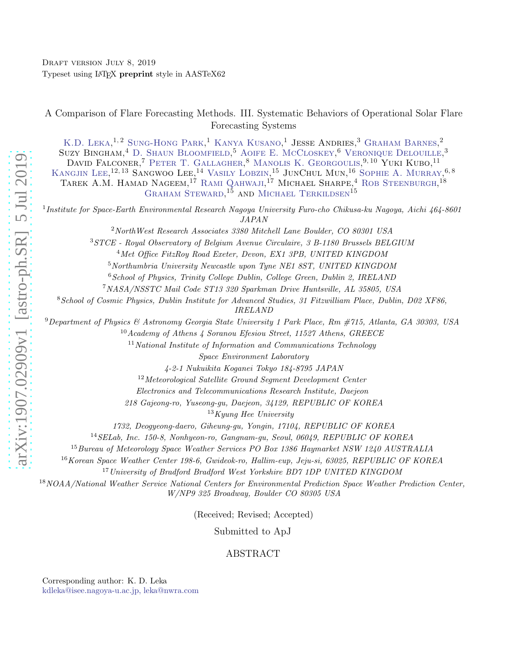## A Comparison of Flare Forecasting Methods. III. Systematic Behaviors of Operational Solar Flare Forecasting Systems

K.D. LEKA,<sup>1,2</sup> SUNG-HONG PARK,<sup>1</sup> KANYA KUSANO,<sup>1</sup> JESSE ANDRIES,<sup>3</sup> GRAHAM BARNES,<sup>2</sup> Suzy Bingham,<sup>4</sup> [D. Shaun Bloomfield,](http://orcid.org/0000-0002-4183-9895)<sup>5</sup> [Aoife E. McCloskey,](http://orcid.org/0000-0002-4830-9352)<sup>6</sup> [Veronique Delouille,](http://orcid.org/0000-0001-5307-8045)<sup>3</sup> DAVID FALCONER,<sup>7</sup> PETER T. GALLAGHER,<sup>8</sup> MANOLIS K. GEORGOULIS,<sup>9,10</sup> YUKI KUBO,<sup>11</sup> KANGJIN LEE,<sup>12, 13</sup> SANGWOO LEE,<sup>14</sup> VASILY LOBZIN,<sup>15</sup> JUNCHUL MUN,<sup>16</sup> SOPHIE A. MURRAY,<sup>6, 8</sup> TAREK A.M. HAMAD NAGEEM,<sup>17</sup> RAMI QAHWAJI,<sup>17</sup> MICHAEL SHARPE,<sup>4</sup> ROB STEENBURGH,<sup>18</sup> GRAHAM STEWARD,<sup>15</sup> AND MICHAEL TERKILDSEN<sup>15</sup>

1 Institute for Space-Earth Environmental Research Nagoya University Furo-cho Chikusa-ku Nagoya, Aichi 464-8601 JAPAN

<sup>2</sup>NorthWest Research Associates 3380 Mitchell Lane Boulder, CO 80301 USA

<sup>3</sup>STCE - Royal Observatory of Belgium Avenue Circulaire, 3 B-1180 Brussels BELGIUM

<sup>4</sup>Met Office FitzRoy Road Exeter, Devon, EX1 3PB, UNITED KINGDOM

<sup>5</sup>Northumbria University Newcastle upon Tyne NE1 8ST, UNITED KINGDOM

<sup>6</sup> School of Physics, Trinity College Dublin, College Green, Dublin 2, IRELAND

<sup>7</sup>NASA/NSSTC Mail Code ST13 320 Sparkman Drive Huntsville, AL 35805, USA

<sup>8</sup>School of Cosmic Physics, Dublin Institute for Advanced Studies, 31 Fitzwilliam Place, Dublin, D02 XF86,

IRELAND

<sup>9</sup>Department of Physics & Astronomy Georgia State University 1 Park Place, Rm #715, Atlanta, GA 30303, USA

<sup>10</sup>Academy of Athens 4 Soranou Efesiou Street, 11527 Athens, GREECE

 $11$ National Institute of Information and Communications Technology

Space Environment Laboratory

4-2-1 Nukuikita Koganei Tokyo 184-8795 JAPAN

<sup>12</sup>Meteorological Satellite Ground Segment Development Center

Electronics and Telecommunications Research Institute, Daejeon

218 Gajeong-ro, Yuseong-gu, Daejeon, 34129, REPUBLIC OF KOREA

 $13 Kyung$  Hee University

1732, Deogyeong-daero, Giheung-gu, Yongin, 17104, REPUBLIC OF KOREA

<sup>14</sup>SELab, Inc. 150-8, Nonhyeon-ro, Gangnam-gu, Seoul, 06049, REPUBLIC OF KOREA

<sup>15</sup> Bureau of Meteorology Space Weather Services PO Box 1386 Haymarket NSW 1240 AUSTRALIA

<sup>16</sup>Korean Space Weather Center 198-6, Gwideok-ro, Hallim-eup, Jeju-si, 63025, REPUBLIC OF KOREA

<sup>17</sup>University of Bradford Bradford West Yorkshire BD7 1DP UNITED KINGDOM

<sup>18</sup>NOAA/National Weather Service National Centers for Environmental Prediction Space Weather Prediction Center, W/NP9 325 Broadway, Boulder CO 80305 USA

(Received; Revised; Accepted)

Submitted to ApJ

### ABSTRACT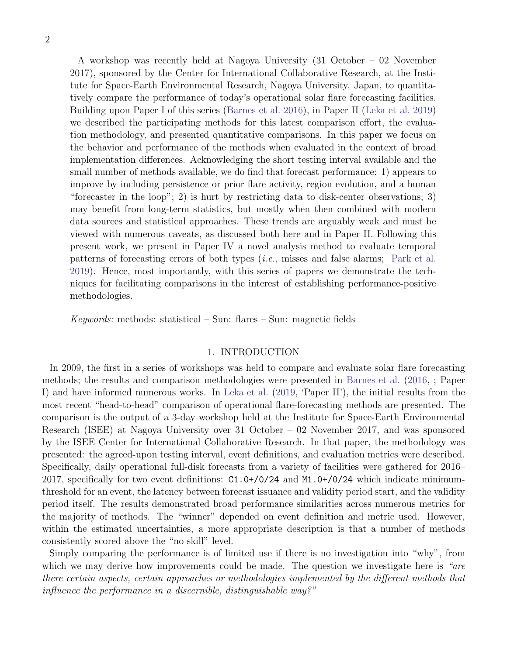2

A workshop was recently held at Nagoya University (31 October – 02 November 2017), sponsored by the Center for International Collaborative Research, at the Institute for Space-Earth Environmental Research, Nagoya University, Japan, to quantitatively compare the performance of today's operational solar flare forecasting facilities. Building upon Paper I of this series [\(Barnes et al. 2016\)](#page-21-0), in Paper II [\(Leka et al. 2019](#page-22-0)) we described the participating methods for this latest comparison effort, the evaluation methodology, and presented quantitative comparisons. In this paper we focus on the behavior and performance of the methods when evaluated in the context of broad implementation differences. Acknowledging the short testing interval available and the small number of methods available, we do find that forecast performance: 1) appears to improve by including persistence or prior flare activity, region evolution, and a human "forecaster in the loop"; 2) is hurt by restricting data to disk-center observations; 3) may benefit from long-term statistics, but mostly when then combined with modern data sources and statistical approaches. These trends are arguably weak and must be viewed with numerous caveats, as discussed both here and in Paper II. Following this present work, we present in Paper IV a novel analysis method to evaluate temporal patterns of forecasting errors of both types (i.e., misses and false alarms; [Park et al.](#page-22-1) [2019](#page-22-1)). Hence, most importantly, with this series of papers we demonstrate the techniques for facilitating comparisons in the interest of establishing performance-positive methodologies.

Keywords: methods: statistical – Sun: flares – Sun: magnetic fields

#### 1. INTRODUCTION

In 2009, the first in a series of workshops was held to compare and evaluate solar flare forecasting methods; the results and comparison methodologies were presented in [Barnes et al.](#page-21-0) [\(2016,](#page-21-0) ; Paper I) and have informed numerous works. In [Leka et al.](#page-22-0) [\(2019,](#page-22-0) 'Paper II'), the initial results from the most recent "head-to-head" comparison of operational flare-forecasting methods are presented. The comparison is the output of a 3-day workshop held at the Institute for Space-Earth Environmental Research (ISEE) at Nagoya University over 31 October – 02 November 2017, and was sponsored by the ISEE Center for International Collaborative Research. In that paper, the methodology was presented: the agreed-upon testing interval, event definitions, and evaluation metrics were described. Specifically, daily operational full-disk forecasts from a variety of facilities were gathered for 2016– 2017, specifically for two event definitions:  $C1.0+/0/24$  and  $M1.0+/0/24$  which indicate minimumthreshold for an event, the latency between forecast issuance and validity period start, and the validity period itself. The results demonstrated broad performance similarities across numerous metrics for the majority of methods. The "winner" depended on event definition and metric used. However, within the estimated uncertainties, a more appropriate description is that a number of methods consistently scored above the "no skill" level.

Simply comparing the performance is of limited use if there is no investigation into "why", from which we may derive how improvements could be made. The question we investigate here is "are there certain aspects, certain approaches or methodologies implemented by the different methods that influence the performance in a discernible, distinguishable way?"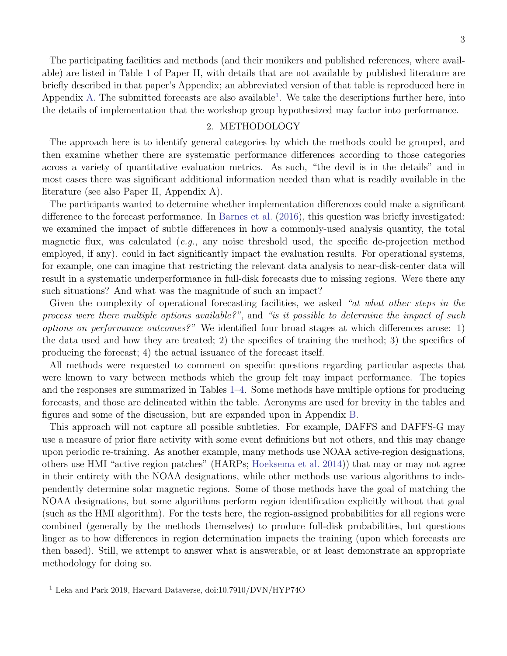The participating facilities and methods (and their monikers and published references, where available) are listed in Table 1 of Paper II, with details that are not available by published literature are briefly described in that paper's Appendix; an abbreviated version of that table is reproduced here in Appendix [A.](#page-19-0) The submitted forecasts are also available<sup>[1](#page-2-0)</sup>. We take the descriptions further here, into the details of implementation that the workshop group hypothesized may factor into performance.

### 2. METHODOLOGY

The approach here is to identify general categories by which the methods could be grouped, and then examine whether there are systematic performance differences according to those categories across a variety of quantitative evaluation metrics. As such, "the devil is in the details" and in most cases there was significant additional information needed than what is readily available in the literature (see also Paper II, Appendix A).

The participants wanted to determine whether implementation differences could make a significant difference to the forecast performance. In [Barnes et al.](#page-21-0) [\(2016\)](#page-21-0), this question was briefly investigated: we examined the impact of subtle differences in how a commonly-used analysis quantity, the total magnetic flux, was calculated  $(e.g.,$  any noise threshold used, the specific de-projection method employed, if any). could in fact significantly impact the evaluation results. For operational systems, for example, one can imagine that restricting the relevant data analysis to near-disk-center data will result in a systematic underperformance in full-disk forecasts due to missing regions. Were there any such situations? And what was the magnitude of such an impact?

Given the complexity of operational forecasting facilities, we asked "at what other steps in the process were there multiple options available?", and "is it possible to determine the impact of such options on performance outcomes?" We identified four broad stages at which differences arose: 1) the data used and how they are treated; 2) the specifics of training the method; 3) the specifics of producing the forecast; 4) the actual issuance of the forecast itself.

All methods were requested to comment on specific questions regarding particular aspects that were known to vary between methods which the group felt may impact performance. The topics and the responses are summarized in Tables [1](#page-4-0)[–4.](#page-7-0) Some methods have multiple options for producing forecasts, and those are delineated within the table. Acronyms are used for brevity in the tables and figures and some of the discussion, but are expanded upon in Appendix [B.](#page-19-1)

This approach will not capture all possible subtleties. For example, DAFFS and DAFFS-G may use a measure of prior flare activity with some event definitions but not others, and this may change upon periodic re-training. As another example, many methods use NOAA active-region designations, others use HMI "active region patches" (HARPs; [Hoeksema et al. 2014](#page-21-1))) that may or may not agree in their entirety with the NOAA designations, while other methods use various algorithms to independently determine solar magnetic regions. Some of those methods have the goal of matching the NOAA designations, but some algorithms perform region identification explicitly without that goal (such as the HMI algorithm). For the tests here, the region-assigned probabilities for all regions were combined (generally by the methods themselves) to produce full-disk probabilities, but questions linger as to how differences in region determination impacts the training (upon which forecasts are then based). Still, we attempt to answer what is answerable, or at least demonstrate an appropriate methodology for doing so.

<span id="page-2-0"></span><sup>1</sup> Leka and Park 2019, Harvard Dataverse, doi:10.7910/DVN/HYP74O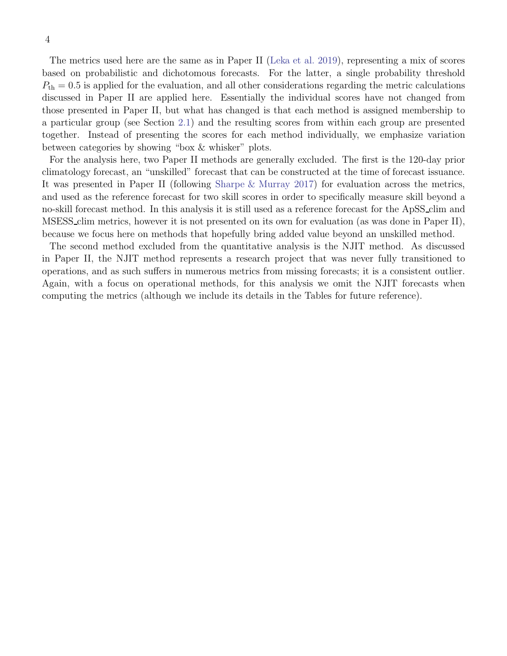The metrics used here are the same as in Paper II [\(Leka et al. 2019\)](#page-22-0), representing a mix of scores based on probabilistic and dichotomous forecasts. For the latter, a single probability threshold  $P_{\text{th}} = 0.5$  is applied for the evaluation, and all other considerations regarding the metric calculations discussed in Paper II are applied here. Essentially the individual scores have not changed from those presented in Paper II, but what has changed is that each method is assigned membership to a particular group (see Section [2.1\)](#page-8-0) and the resulting scores from within each group are presented together. Instead of presenting the scores for each method individually, we emphasize variation between categories by showing "box & whisker" plots.

For the analysis here, two Paper II methods are generally excluded. The first is the 120-day prior climatology forecast, an "unskilled" forecast that can be constructed at the time of forecast issuance. It was presented in Paper II (following [Sharpe & Murray 2017\)](#page-22-2) for evaluation across the metrics, and used as the reference forecast for two skill scores in order to specifically measure skill beyond a no-skill forecast method. In this analysis it is still used as a reference forecast for the ApSS clim and MSESS clim metrics, however it is not presented on its own for evaluation (as was done in Paper II), because we focus here on methods that hopefully bring added value beyond an unskilled method.

The second method excluded from the quantitative analysis is the NJIT method. As discussed in Paper II, the NJIT method represents a research project that was never fully transitioned to operations, and as such suffers in numerous metrics from missing forecasts; it is a consistent outlier. Again, with a focus on operational methods, for this analysis we omit the NJIT forecasts when computing the metrics (although we include its details in the Tables for future reference).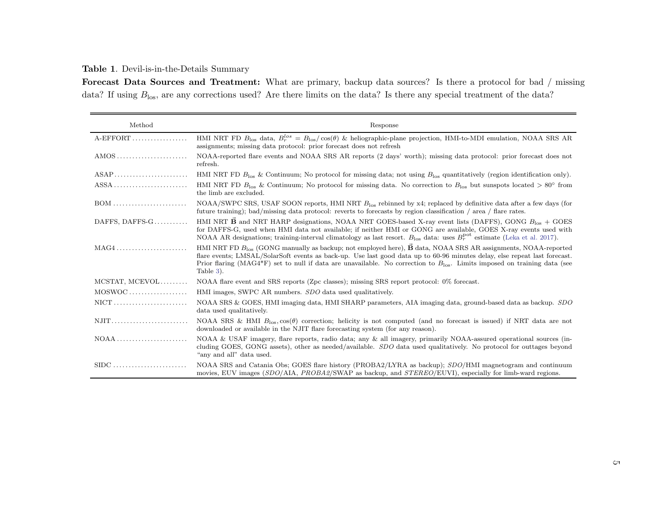# Table <sup>1</sup>. Devil-is-in-the-Details Summary

Forecast Data Sources and Treatment: What are primary, backup data sources? Is there a protocol for bad / missing data? If using  $B_{\text{los}}$ , are any corrections used? Are there limits on the data? Is there any special treatment of the data?

<span id="page-4-0"></span>

| Method                                                        | Response                                                                                                                                                                                                                                                                                                                                                                                                                        |
|---------------------------------------------------------------|---------------------------------------------------------------------------------------------------------------------------------------------------------------------------------------------------------------------------------------------------------------------------------------------------------------------------------------------------------------------------------------------------------------------------------|
| $A-EFFORT$                                                    | HMI NRT FD $B_{\text{los}}$ data, $B_r^{los} = B_{\text{los}}/\cos(\theta)$ & heliographic-plane projection, HMI-to-MDI emulation, NOAA SRS AR<br>assignments; missing data protocol: prior forecast does not refresh                                                                                                                                                                                                           |
| $AMOS$                                                        | NOAA-reported flare events and NOAA SRS AR reports (2 days' worth); missing data protocol: prior forecast does not<br>refresh.                                                                                                                                                                                                                                                                                                  |
| $ASAP$                                                        | HMI NRT FD $B_{\text{los}}$ & Continuum; No protocol for missing data; not using $B_{\text{los}}$ quantitatively (region identification only).                                                                                                                                                                                                                                                                                  |
| ASSA                                                          | HMI NRT FD $B_{\text{los}}$ & Continuum; No protocol for missing data. No correction to $B_{\text{los}}$ but sunspots located > 80° from<br>the limb are excluded.                                                                                                                                                                                                                                                              |
| $BOM$                                                         | $NOAA/SWPC SRS$ , USAF SOON reports, HMI NRT $B_{los}$ rebinned by x4; replaced by definitive data after a few days (for<br>future training); bad/missing data protocol: reverts to forecasts by region classification / area / flare rates.                                                                                                                                                                                    |
| DAFFS, DAFFS-G                                                | HMI NRT <b>B</b> and NRT HARP designations, NOAA NRT GOES-based X-ray event lists (DAFFS), GONG $B_{\text{los}}$ + GOES<br>for DAFFS-G, used when HMI data not available; if neither HMI or GONG are available, GOES X-ray events used with<br>NOAA AR designations; training-interval climatology as last resort. $B_{\text{los}}$ data: uses $B_r^{\text{pot}}$ estimate (Leka et al. 2017).                                  |
| $MAG4$                                                        | HMI NRT FD $B_{\text{los}}$ (GONG manually as backup; not employed here), $\vec{B}$ data, NOAA SRS AR assignments, NOAA-reported<br>flare events; LMSAL/SolarSoft events as back-up. Use last good data up to 60-96 minutes delay, else repeat last forecast.<br>Prior flaring (MAG4 <sup>*</sup> F) set to null if data are unavailable. No correction to $B_{\text{los}}$ . Limits imposed on training data (see<br>Table 3). |
| $MCSTAT$ , $MCEVOL$                                           | NOAA flare event and SRS reports (Zpc classes); missing SRS report protocol: 0% forecast.                                                                                                                                                                                                                                                                                                                                       |
| $MOSWOC$                                                      | HMI images, SWPC AR numbers. SDO data used qualitatively.                                                                                                                                                                                                                                                                                                                                                                       |
| $\text{NICT} \dots \dots \dots \dots \dots \dots \dots \dots$ | NOAA SRS & GOES, HMI imaging data, HMI SHARP parameters, AIA imaging data, ground-based data as backup. SDO<br>data used qualitatively.                                                                                                                                                                                                                                                                                         |
| NJIT                                                          | NOAA SRS & HMI $B_{\text{los}}$ , $\cos(\theta)$ correction; helicity is not computed (and no forecast is issued) if NRT data are not<br>downloaded or available in the NJIT flare forecasting system (for any reason).                                                                                                                                                                                                         |
| $NOAA$                                                        | NOAA & USAF imagery, flare reports, radio data; any & all imagery, primarily NOAA-assured operational sources (in-<br>cluding GOES, GONG assets), other as needed/available. SDO data used qualitatively. No protocol for outtages beyond<br>"any and all" data used.                                                                                                                                                           |
|                                                               | NOAA SRS and Catania Obs; GOES flare history (PROBA2/LYRA as backup); SDO/HMI magnetogram and continuum<br>movies, EUV images (SDO/AIA, PROBA2/SWAP as backup, and STEREO/EUVI), especially for limb-ward regions.                                                                                                                                                                                                              |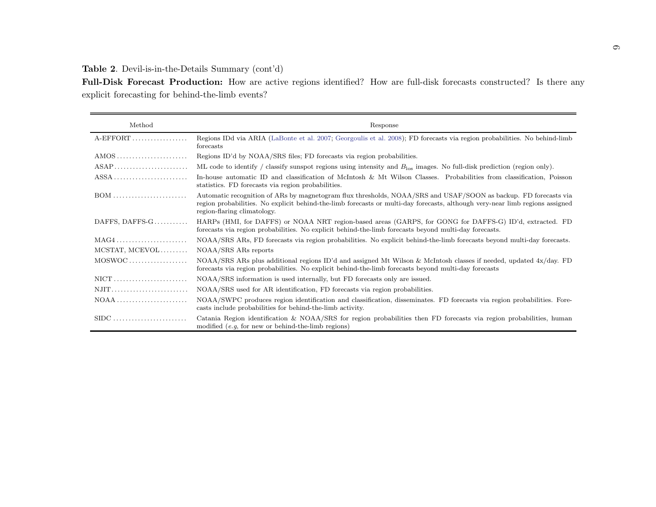Table <sup>2</sup>. Devil-is-in-the-Details Summary (cont'd)

Full-Disk Forecast Production: How are active regions identified? How are full-disk forecasts constructed? Is there anyexplicit forecasting for behind-the-limb events?

| Method                                                        | Response                                                                                                                                                                                                                                                                       |
|---------------------------------------------------------------|--------------------------------------------------------------------------------------------------------------------------------------------------------------------------------------------------------------------------------------------------------------------------------|
| $A-EFFORT$                                                    | Regions IDd via ARIA (LaBonte et al. 2007; Georgoulis et al. 2008); FD forecasts via region probabilities. No behind-limb<br>forecasts                                                                                                                                         |
| AMOS                                                          | Regions ID'd by NOAA/SRS files; FD forecasts via region probabilities.                                                                                                                                                                                                         |
| ASAP                                                          | ML code to identify / classify sunspot regions using intensity and $B_{\text{los}}$ images. No full-disk prediction (region only).                                                                                                                                             |
| $ASSA$                                                        | In-house automatic ID and classification of McIntosh & Mt Wilson Classes. Probabilities from classification, Poisson<br>statistics. FD forecasts via region probabilities.                                                                                                     |
|                                                               | Automatic recognition of ARs by magnetogram flux thresholds, NOAA/SRS and USAF/SOON as backup. FD forecasts via<br>region probabilities. No explicit behind-the-limb forecasts or multi-day forecasts, although very-near limb regions assigned<br>region-flaring climatology. |
| $DAFFS, DAFFS-G$                                              | HARPs (HMI, for DAFFS) or NOAA NRT region-based areas (GARPS, for GONG for DAFFS-G) ID'd, extracted. FD<br>forecasts via region probabilities. No explicit behind-the-limb forecasts beyond multi-day forecasts.                                                               |
| $MAG4$                                                        | NOAA/SRS ARs, FD forecasts via region probabilities. No explicit behind-the-limb forecasts beyond multi-day forecasts.                                                                                                                                                         |
| $MCSTAT$ , $MCEVOL$                                           | NOAA/SRS ARs reports                                                                                                                                                                                                                                                           |
| $MOSWOC \ldots \ldots \ldots \ldots \ldots$                   | NOAA/SRS ARs plus additional regions ID'd and assigned Mt Wilson & McIntosh classes if needed, updated 4x/day. FD<br>forecasts via region probabilities. No explicit behind-the-limb forecasts beyond multi-day forecasts                                                      |
| $\text{NICT} \dots \dots \dots \dots \dots \dots \dots \dots$ | NOAA/SRS information is used internally, but FD forecasts only are issued.                                                                                                                                                                                                     |
| NJIT                                                          | NOAA/SRS used for AR identification, FD forecasts via region probabilities.                                                                                                                                                                                                    |
|                                                               | NOAA/SWPC produces region identification and classification, disseminates. FD forecasts via region probabilities. Fore-<br>casts include probabilities for behind-the-limb activity.                                                                                           |
|                                                               | Catania Region identification & NOAA/SRS for region probabilities then FD forecasts via region probabilities, human<br>modified $(e.g. for new or behind-the-limb regions)$                                                                                                    |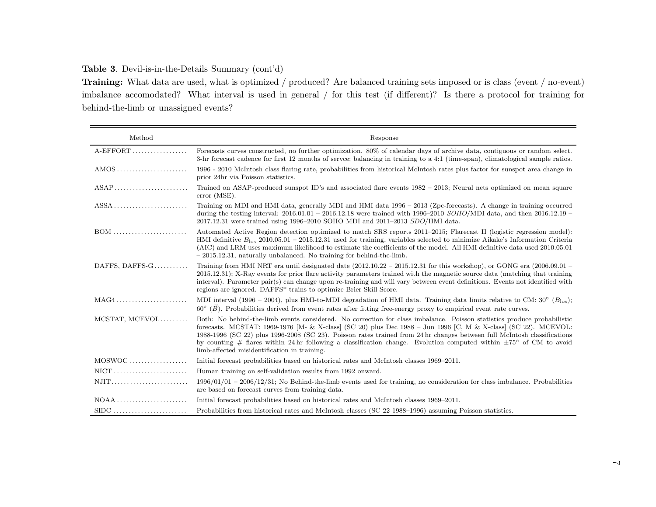# Table <sup>3</sup>. Devil-is-in-the-Details Summary (cont'd)

Training: What data are used, what is optimized / produced? Are balanced training sets imposed or is class (event / no-event) imbalance accomodated? What interval is used in genera<sup>l</sup> / for this test (if different)? Is there <sup>a</sup> protocol for training for behind-the-limb or unassigned events?

<span id="page-6-0"></span>

| Method                                       | Response                                                                                                                                                                                                                                                                                                                                                                                                                                                                                                                                                |
|----------------------------------------------|---------------------------------------------------------------------------------------------------------------------------------------------------------------------------------------------------------------------------------------------------------------------------------------------------------------------------------------------------------------------------------------------------------------------------------------------------------------------------------------------------------------------------------------------------------|
| $A-EFFORT$                                   | Forecasts curves constructed, no further optimization. 80% of calendar days of archive data, contiguous or random select.<br>3-hr forecast cadence for first 12 months of servee; balancing in training to a 4:1 (time-span), climatological sample ratios.                                                                                                                                                                                                                                                                                             |
| AMOS                                         | 1996 - 2010 McIntosh class flaring rate, probabilities from historical McIntosh rates plus factor for sunspot area change in<br>prior 24hr via Poisson statistics.                                                                                                                                                                                                                                                                                                                                                                                      |
| ASAP                                         | Trained on ASAP-produced sunspot ID's and associated flare events 1982 – 2013; Neural nets optimized on mean square<br>$error(MSE)$ .                                                                                                                                                                                                                                                                                                                                                                                                                   |
| $ASSA$                                       | Training on MDI and HMI data, generally MDI and HMI data 1996 – 2013 (Zpc-forecasts). A change in training occurred<br>during the testing interval: $2016.01.01 - 2016.12.18$ were trained with 1996-2010 SOHO/MDI data, and then 2016.12.19 -<br>$2017.12.31$ were trained using 1996–2010 SOHO MDI and $2011-2013$ SDO/HMI data.                                                                                                                                                                                                                      |
| BOM                                          | Automated Active Region detection optimized to match SRS reports 2011–2015; Flarecast II (logistic regression model):<br>HMI definitive $B_{\text{los}}$ 2010.05.01 – 2015.12.31 used for training, variables selected to minimize Aikake's Information Criteria<br>(AIC) and LRM uses maximum likelihood to estimate the coefficients of the model. All HMI definitive data used 2010.05.01<br>$-2015.12.31$ , naturally unbalanced. No training for behind-the-limb.                                                                                  |
| $DAFFS, DAFFS-G$                             | Training from HMI NRT era until designated date $(2012.10.22 - 2015.12.31)$ for this workshop), or GONG era $(2006.09.01 -$<br>2015.12.31); X-Ray events for prior flare activity parameters trained with the magnetic source data (matching that training<br>interval). Parameter pair(s) can change upon re-training and will vary between event definitions. Events not identified with<br>regions are ignored. DAFFS <sup>*</sup> trains to optimize Brier Skill Score.                                                                             |
| $MAG4$                                       | MDI interval (1996 – 2004), plus HMI-to-MDI degradation of HMI data. Training data limits relative to CM: 30° ( $B_{\text{los}}$ );<br>$60^{\circ}$ ( $\vec{B}$ ). Probabilities derived from event rates after fitting free-energy proxy to empirical event rate curves.                                                                                                                                                                                                                                                                               |
| $MCSTAT$ , $MCEVOL$                          | Both: No behind-the-limb events considered. No correction for class imbalance. Poisson statistics produce probabilistic<br>forecasts. MCSTAT: 1969-1976 [M- & X-class] (SC 20) plus Dec 1988 - Jun 1996 [C, M & X-class] (SC 22). MCEVOL:<br>1988-1996 (SC 22) plus 1996-2008 (SC 23). Poisson rates trained from 24 hr changes between full McIntosh classifications<br>by counting # flares within 24 hr following a classification change. Evolution computed within $\pm 75^{\circ}$ of CM to avoid<br>limb-affected misidentification in training. |
| $MOSWOC \dots \dots \dots \dots \dots \dots$ | Initial forecast probabilities based on historical rates and McIntosh classes 1969–2011.                                                                                                                                                                                                                                                                                                                                                                                                                                                                |
|                                              | Human training on self-validation results from 1992 onward.                                                                                                                                                                                                                                                                                                                                                                                                                                                                                             |
| NJIT                                         | $1996/01/01 - 2006/12/31$ ; No Behind-the-limb events used for training, no consideration for class imbalance. Probabilities<br>are based on forecast curves from training data.                                                                                                                                                                                                                                                                                                                                                                        |
|                                              | Initial forecast probabilities based on historical rates and McIntosh classes 1969–2011.                                                                                                                                                                                                                                                                                                                                                                                                                                                                |
| $SIDC$                                       | Probabilities from historical rates and McIntosh classes (SC 22 1988–1996) assuming Poisson statistics.                                                                                                                                                                                                                                                                                                                                                                                                                                                 |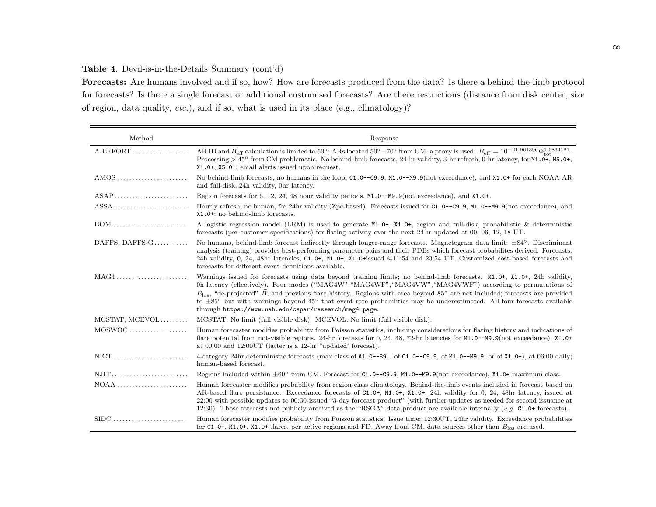## Table <sup>4</sup>. Devil-is-in-the-Details Summary (cont'd)

Forecasts: Are humans involved and if so, how? How are forecasts produced from the data? Is there <sup>a</sup> behind-the-limb protocol for forecasts? Is there <sup>a</sup> single forecast or additional customised forecasts? Are there restrictions (distance from disk center, size of region, data quality, etc.), and if so, what is used in its <sup>p</sup>lace (e.g., climatology)?

<span id="page-7-0"></span>

| Method                                                              | Response                                                                                                                                                                                                                                                                                                                                                                                                                                                                                                                                                                               |
|---------------------------------------------------------------------|----------------------------------------------------------------------------------------------------------------------------------------------------------------------------------------------------------------------------------------------------------------------------------------------------------------------------------------------------------------------------------------------------------------------------------------------------------------------------------------------------------------------------------------------------------------------------------------|
| $A-EFFORT$                                                          | AR ID and $B_{\text{eff}}$ calculation is limited to 50°; ARs located 50° -70° from CM: a proxy is used: $B_{\text{eff}} = 10^{-21.961396} \Phi_{\text{tot}}^{1.0834181}$ .<br>Processing $> 45^{\circ}$ from CM problematic. No behind-limb forecasts, 24-hr validity, 3-hr refresh, 0-hr latency, for M1.0+, M5.0+,<br>X1.0+, X5.0+; email alerts issued upon request.                                                                                                                                                                                                               |
|                                                                     | No behind-limb forecasts, no humans in the loop, C1.0–-C9.9, M1.0–-M9.9(not exceedance), and X1.0+ for each NOAA AR<br>and full-disk, 24h validity, 0hr latency.                                                                                                                                                                                                                                                                                                                                                                                                                       |
| $ASAP$                                                              | Region forecasts for 6, 12, 24, 48 hour validity periods, $M1.0$ – $M9.9$ (not exceedance), and X1.0+.                                                                                                                                                                                                                                                                                                                                                                                                                                                                                 |
| $ASSA$                                                              | Hourly refresh, no human, for 24hr validity (Zpc-based). Forecasts issued for C1.0--C9.9, M1.0--M9.9(not exceedance), and<br>X1.0+; no behind-limb forecasts.                                                                                                                                                                                                                                                                                                                                                                                                                          |
| $BOM$                                                               | A logistic regression model (LRM) is used to generate $M1.0+$ , $X1.0+$ , region and full-disk, probabilistic & deterministic<br>forecasts (per customer specifications) for flaring activity over the next 24 hr updated at 00, 06, 12, 18 UT.                                                                                                                                                                                                                                                                                                                                        |
| DAFFS, DAFFS-G                                                      | No humans, behind-limb forecast indirectly through longer-range forecasts. Magnetogram data limit: $\pm 84^{\circ}$ . Discriminant<br>analysis (training) provides best-performing parameter pairs and their PDEs which forecast probabilities derived. Forecasts:<br>24h validity, 0, 24, 48hr latencies, C1.0+, M1.0+, X1.0+issued @11:54 and 23:54 UT. Customized cost-based forecasts and<br>forecasts for different event definitions available.                                                                                                                                  |
| $MAG4$                                                              | Warnings issued for forecasts using data beyond training limits; no behind-limb forecasts. M1.0+, X1.0+, 24h validity,<br>0h latency (effectively). Four modes ("MAG4W", "MAG4WF", "MAG4VW", "MAG4VWF") according to permutations of<br>$B_{\text{los}}$ , "de-projected" $\vec{B}$ , and previous flare history. Regions with area beyond 85° are not included; forecasts are provided<br>to $\pm 85^{\circ}$ but with warnings beyond 45° that event rate probabilities may be underestimated. All four forecasts available<br>through https://www.uah.edu/cspar/research/mag4-page. |
| $MCSTAT$ , $MCEVOL$                                                 | MCSTAT: No limit (full visible disk). MCEVOL: No limit (full visible disk).                                                                                                                                                                                                                                                                                                                                                                                                                                                                                                            |
| $MOSWOC \ldots \ldots \ldots \ldots \ldots \ldots$                  | Human forecaster modifies probability from Poisson statistics, including considerations for flaring history and indications of<br>flare potential from not-visible regions. 24-hr forecasts for 0, 24, 48, 72-hr latencies for M1.0--M9.9(not exceedance), X1.0+<br>at 00:00 and 12:00 UT (latter is a 12-hr "updated" forecast).                                                                                                                                                                                                                                                      |
| $\text{NICT}$ ,                                                     | 4-category 24hr deterministic forecasts (max class of A1.0--B9., of C1.0--C9.9, of M1.0--M9.9, or of X1.0+), at 06:00 daily;<br>human-based forecast.                                                                                                                                                                                                                                                                                                                                                                                                                                  |
| $\text{NJIT} \dots \dots \dots \dots \dots \dots \dots \dots \dots$ | Regions included within $\pm 60^{\circ}$ from CM. Forecast for C1.0--C9.9, M1.0--M9.9(not exceedance), X1.0+ maximum class.                                                                                                                                                                                                                                                                                                                                                                                                                                                            |
|                                                                     | Human forecaster modifies probability from region-class climatology. Behind-the-limb events included in forecast based on<br>AR-based flare persistance. Exceedance forecasts of C1.0+, M1.0+, X1.0+, 24h validity for 0, 24, 48hr latency, issued at<br>22:00 with possible updates to 00:30-issued "3-day forecast product" (with further updates as needed for second issuance at<br>12:30). Those forecasts not publicly archived as the "RSGA" data product are available internally (e.g. C1.0+ forecasts).                                                                      |
| $SIDC$                                                              | Human forecaster modifies probability from Poisson statistics. Issue time: 12:30UT, 24hr validity. Exceedance probabilities<br>for C1.0+, M1.0+, X1.0+ flares, per active regions and FD. Away from CM, data sources other than $B_{\text{los}}$ are used.                                                                                                                                                                                                                                                                                                                             |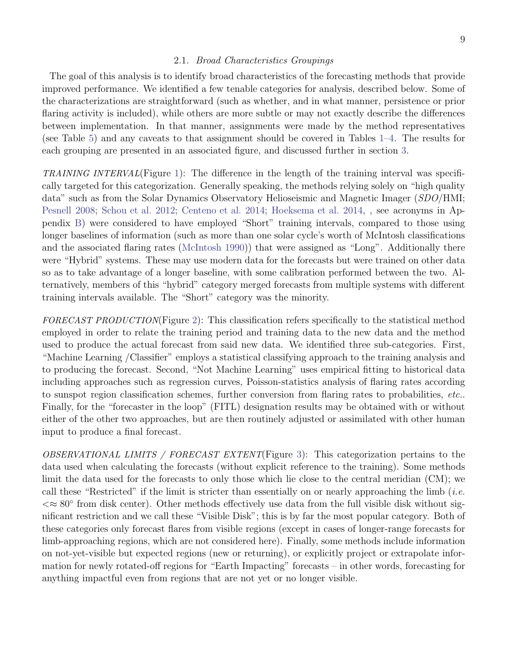### 2.1. Broad Characteristics Groupings

<span id="page-8-0"></span>The goal of this analysis is to identify broad characteristics of the forecasting methods that provide improved performance. We identified a few tenable categories for analysis, described below. Some of the characterizations are straightforward (such as whether, and in what manner, persistence or prior flaring activity is included), while others are more subtle or may not exactly describe the differences between implementation. In that manner, assignments were made by the method representatives (see Table [5\)](#page-10-0) and any caveats to that assignment should be covered in Tables [1](#page-4-0)[–4.](#page-7-0) The results for each grouping are presented in an associated figure, and discussed further in section [3.](#page-11-0)

TRAINING INTERVAL(Figure [1\)](#page-12-0): The difference in the length of the training interval was specifically targeted for this categorization. Generally speaking, the methods relying solely on "high quality data" such as from the Solar Dynamics Observatory Helioseismic and Magnetic Imager (SDO/HMI; [Pesnell 2008;](#page-22-5) [Schou et al. 2012;](#page-22-6) [Centeno et al. 2014;](#page-21-3) [Hoeksema et al. 2014](#page-21-1), , see acronyms in Appendix [B\)](#page-19-1) were considered to have employed "Short" training intervals, compared to those using longer baselines of information (such as more than one solar cycle's worth of McIntosh classifications and the associated flaring rates [\(McIntosh 1990](#page-22-7))) that were assigned as "Long". Additionally there were "Hybrid" systems. These may use modern data for the forecasts but were trained on other data so as to take advantage of a longer baseline, with some calibration performed between the two. Alternatively, members of this "hybrid" category merged forecasts from multiple systems with different training intervals available. The "Short" category was the minority.

FORECAST PRODUCTION(Figure [2\)](#page-13-0): This classification refers specifically to the statistical method employed in order to relate the training period and training data to the new data and the method used to produce the actual forecast from said new data. We identified three sub-categories. First, "Machine Learning /Classifier" employs a statistical classifying approach to the training analysis and to producing the forecast. Second, "Not Machine Learning" uses empirical fitting to historical data including approaches such as regression curves, Poisson-statistics analysis of flaring rates according to sunspot region classification schemes, further conversion from flaring rates to probabilities, etc.. Finally, for the "forecaster in the loop" (FITL) designation results may be obtained with or without either of the other two approaches, but are then routinely adjusted or assimilated with other human input to produce a final forecast.

OBSERVATIONAL LIMITS / FORECAST EXTENT(Figure [3\)](#page-14-0): This categorization pertains to the data used when calculating the forecasts (without explicit reference to the training). Some methods limit the data used for the forecasts to only those which lie close to the central meridian (CM); we call these "Restricted" if the limit is stricter than essentially on or nearly approaching the limb (*i.e.*) <≈ 80° from disk center). Other methods effectively use data from the full visible disk without significant restriction and we call these "Visible Disk"; this is by far the most popular category. Both of these categories only forecast flares from visible regions (except in cases of longer-range forecasts for limb-approaching regions, which are not considered here). Finally, some methods include information on not-yet-visible but expected regions (new or returning), or explicitly project or extrapolate information for newly rotated-off regions for "Earth Impacting" forecasts – in other words, forecasting for anything impactful even from regions that are not yet or no longer visible.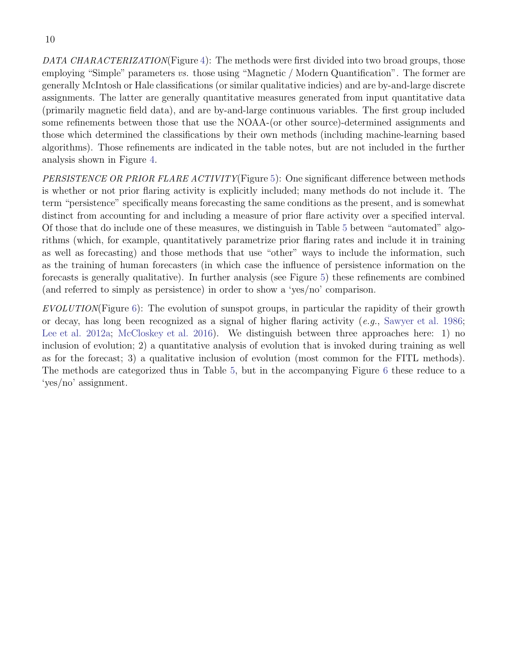DATA CHARACTERIZATION(Figure [4\)](#page-15-0): The methods were first divided into two broad groups, those employing "Simple" parameters vs. those using "Magnetic / Modern Quantification". The former are generally McIntosh or Hale classifications (or similar qualitative indicies) and are by-and-large discrete assignments. The latter are generally quantitative measures generated from input quantitative data (primarily magnetic field data), and are by-and-large continuous variables. The first group included some refinements between those that use the NOAA-(or other source)-determined assignments and those which determined the classifications by their own methods (including machine-learning based algorithms). Those refinements are indicated in the table notes, but are not included in the further analysis shown in Figure [4.](#page-15-0)

PERSISTENCE OR PRIOR FLARE ACTIVITY(Figure [5\)](#page-16-0): One significant difference between methods is whether or not prior flaring activity is explicitly included; many methods do not include it. The term "persistence" specifically means forecasting the same conditions as the present, and is somewhat distinct from accounting for and including a measure of prior flare activity over a specified interval. Of those that do include one of these measures, we distinguish in Table [5](#page-10-0) between "automated" algorithms (which, for example, quantitatively parametrize prior flaring rates and include it in training as well as forecasting) and those methods that use "other" ways to include the information, such as the training of human forecasters (in which case the influence of persistence information on the forecasts is generally qualitative). In further analysis (see Figure [5\)](#page-16-0) these refinements are combined (and referred to simply as persistence) in order to show a 'yes/no' comparison.

EVOLUTION(Figure [6\)](#page-17-0): The evolution of sunspot groups, in particular the rapidity of their growth or decay, has long been recognized as a signal of higher flaring activity  $(e.g.,$  [Sawyer et al. 1986;](#page-22-8) [Lee et al. 2012a;](#page-22-9) [McCloskey et al. 2016\)](#page-22-10). We distinguish between three approaches here: 1) no inclusion of evolution; 2) a quantitative analysis of evolution that is invoked during training as well as for the forecast; 3) a qualitative inclusion of evolution (most common for the FITL methods). The methods are categorized thus in Table [5,](#page-10-0) but in the accompanying Figure [6](#page-17-0) these reduce to a 'yes/no' assignment.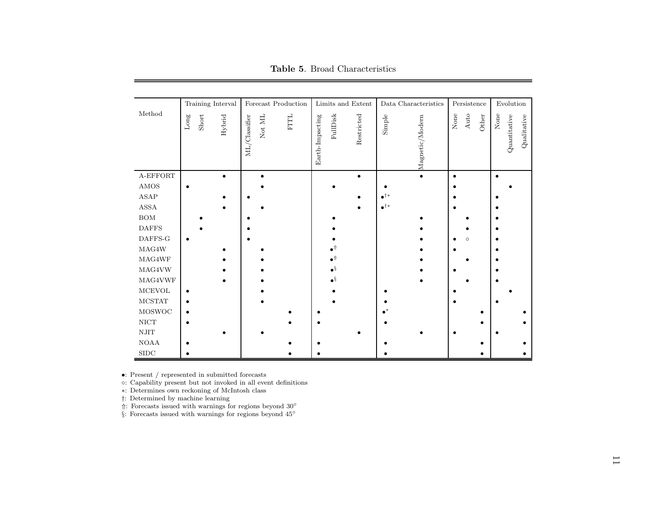<span id="page-10-0"></span>

|  | <b>Table 5.</b> Broad Characteristics |  |
|--|---------------------------------------|--|
|  |                                       |  |

|                                  |      |       | Training Interval |               |        | $\operatorname{Forecast}$ Production |                 |                 | ${\rm Limits}$ and ${\rm Extent}$ |                      | Data Characteristics |      | $\label{eq:persistence} \text{Persistence}$ |       |      | Evolution    |             |
|----------------------------------|------|-------|-------------------|---------------|--------|--------------------------------------|-----------------|-----------------|-----------------------------------|----------------------|----------------------|------|---------------------------------------------|-------|------|--------------|-------------|
| $\operatorname{\mathbf{Method}}$ | Long | Short | Hybrid            | ML/Classifier | Not ML | <b>FITL</b>                          | Earth-Impacting | <b>FullDisk</b> | Restricted                        | Simple               | Magnetic/Modern      | None | Auto                                        | Other | None | Quantitative | Qualitative |
| A-EFFORT                         |      |       |                   |               |        |                                      |                 |                 |                                   |                      | $\bullet$            |      |                                             |       |      |              |             |
| $\operatorname{AMOS}$            |      |       |                   |               |        |                                      |                 |                 |                                   |                      |                      |      |                                             |       |      |              |             |
| ${\rm ASAP}$                     |      |       |                   |               |        |                                      |                 |                 |                                   | •†⊿                  |                      |      |                                             |       |      |              |             |
| $\operatorname{ASSA}$            |      |       |                   |               |        |                                      |                 |                 |                                   | $\bullet^{\dagger*}$ |                      |      |                                             |       |      |              |             |
| $\rm BOM$                        |      |       |                   |               |        |                                      |                 |                 |                                   |                      |                      |      |                                             |       |      |              |             |
| $\rm{DAFFS}$                     |      |       |                   |               |        |                                      |                 |                 |                                   |                      |                      |      |                                             |       |      |              |             |
| DAFFS-G                          |      |       |                   |               |        |                                      |                 |                 |                                   |                      |                      |      | $\circ$                                     |       |      |              |             |
| $\rm MAG4W$                      |      |       |                   |               |        |                                      |                 |                 |                                   |                      |                      |      |                                             |       |      |              |             |
| $\rm MAG4WF$                     |      |       |                   |               |        |                                      |                 |                 |                                   |                      |                      |      |                                             |       |      |              |             |
| $\rm MAG4VW$                     |      |       |                   |               |        |                                      |                 |                 |                                   |                      |                      |      |                                             |       |      |              |             |
| $\rm MAG4VWF$                    |      |       |                   |               |        |                                      |                 |                 |                                   |                      |                      |      |                                             |       |      |              |             |
| $\operatorname{MCEVOL}$          |      |       |                   |               |        |                                      |                 |                 |                                   |                      |                      |      |                                             |       |      |              |             |
| $\operatorname{MCSTAT}$          |      |       |                   |               |        |                                      |                 |                 |                                   |                      |                      |      |                                             |       |      |              |             |
| <b>MOSWOC</b>                    |      |       |                   |               |        |                                      |                 |                 |                                   |                      |                      |      |                                             |       |      |              |             |
| $_{\rm NICT}$                    |      |       |                   |               |        |                                      |                 |                 |                                   |                      |                      |      |                                             |       |      |              |             |
| $\rm NJIT$                       |      |       |                   |               |        |                                      |                 |                 |                                   |                      |                      |      |                                             |       |      |              |             |
| $\rm NOAA$                       |      |       |                   |               |        |                                      |                 |                 |                                   |                      |                      |      |                                             |       |      |              |             |
| ${\rm SIDC}$                     |      |       |                   |               |        |                                      |                 |                 |                                   |                      |                      |      |                                             |       |      |              |             |

•: Present / represented in submitted forecasts

◦: Capability present but not invoked in all event definitions

<sup>∗</sup>: Determines own reckoning of McIntosh class

†: Determined by machine learning

⇑: Forecasts issued with warnings for regions beyond <sup>30</sup>◦

§: Forecasts issued with warnings for regions beyond 45<sup>°</sup>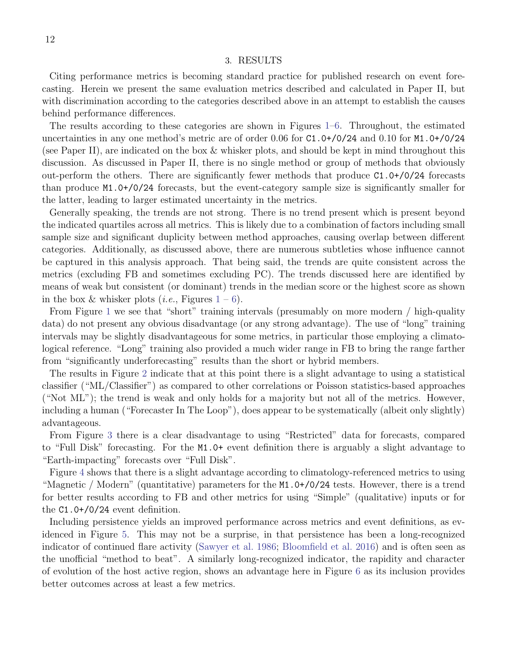#### 3. RESULTS

<span id="page-11-0"></span>Citing performance metrics is becoming standard practice for published research on event forecasting. Herein we present the same evaluation metrics described and calculated in Paper II, but with discrimination according to the categories described above in an attempt to establish the causes behind performance differences.

The results according to these categories are shown in Figures [1](#page-12-0)[–6.](#page-17-0) Throughout, the estimated uncertainties in any one method's metric are of order 0.06 for C1.0+/0/24 and 0.10 for M1.0+/0/24 (see Paper II), are indicated on the box & whisker plots, and should be kept in mind throughout this discussion. As discussed in Paper II, there is no single method or group of methods that obviously out-perform the others. There are significantly fewer methods that produce C1.0+/0/24 forecasts than produce M1.0+/0/24 forecasts, but the event-category sample size is significantly smaller for the latter, leading to larger estimated uncertainty in the metrics.

Generally speaking, the trends are not strong. There is no trend present which is present beyond the indicated quartiles across all metrics. This is likely due to a combination of factors including small sample size and significant duplicity between method approaches, causing overlap between different categories. Additionally, as discussed above, there are numerous subtleties whose influence cannot be captured in this analysis approach. That being said, the trends are quite consistent across the metrics (excluding FB and sometimes excluding PC). The trends discussed here are identified by means of weak but consistent (or dominant) trends in the median score or the highest score as shown in the box & whisker plots (*i.e.*, Figures  $1-6$  $1-6$ ).

From Figure [1](#page-12-0) we see that "short" training intervals (presumably on more modern / high-quality data) do not present any obvious disadvantage (or any strong advantage). The use of "long" training intervals may be slightly disadvantageous for some metrics, in particular those employing a climatological reference. "Long" training also provided a much wider range in FB to bring the range farther from "significantly underforecasting" results than the short or hybrid members.

The results in Figure [2](#page-13-0) indicate that at this point there is a slight advantage to using a statistical classifier ("ML/Classifier") as compared to other correlations or Poisson statistics-based approaches ("Not ML"); the trend is weak and only holds for a majority but not all of the metrics. However, including a human ("Forecaster In The Loop"), does appear to be systematically (albeit only slightly) advantageous.

From Figure [3](#page-14-0) there is a clear disadvantage to using "Restricted" data for forecasts, compared to "Full Disk" forecasting. For the M1.0+ event definition there is arguably a slight advantage to "Earth-impacting" forecasts over "Full Disk".

Figure [4](#page-15-0) shows that there is a slight advantage according to climatology-referenced metrics to using "Magnetic / Modern" (quantitative) parameters for the M1.0+/0/24 tests. However, there is a trend for better results according to FB and other metrics for using "Simple" (qualitative) inputs or for the C1.0+/0/24 event definition.

Including persistence yields an improved performance across metrics and event definitions, as evidenced in Figure [5.](#page-16-0) This may not be a surprise, in that persistence has been a long-recognized indicator of continued flare activity [\(Sawyer et al. 1986;](#page-22-8) [Bloomfield et al. 2016](#page-21-4)) and is often seen as the unofficial "method to beat". A similarly long-recognized indicator, the rapidity and character of evolution of the host active region, shows an advantage here in Figure [6](#page-17-0) as its inclusion provides better outcomes across at least a few metrics.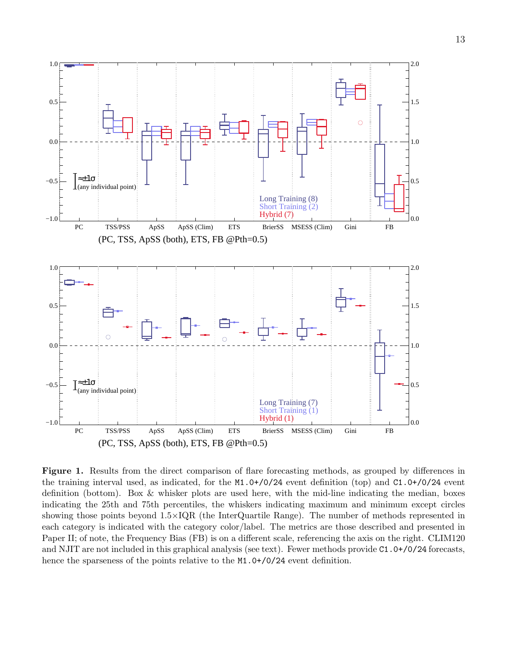

<span id="page-12-0"></span>Figure 1. Results from the direct comparison of flare forecasting methods, as grouped by differences in the training interval used, as indicated, for the M1.0+/0/24 event definition (top) and C1.0+/0/24 event definition (bottom). Box & whisker plots are used here, with the mid-line indicating the median, boxes indicating the 25th and 75th percentiles, the whiskers indicating maximum and minimum except circles showing those points beyond 1.5×IQR (the InterQuartile Range). The number of methods represented in each category is indicated with the category color/label. The metrics are those described and presented in Paper II; of note, the Frequency Bias (FB) is on a different scale, referencing the axis on the right. CLIM120 and NJIT are not included in this graphical analysis (see text). Fewer methods provide C1.0+/0/24 forecasts, hence the sparseness of the points relative to the M1.0+/0/24 event definition.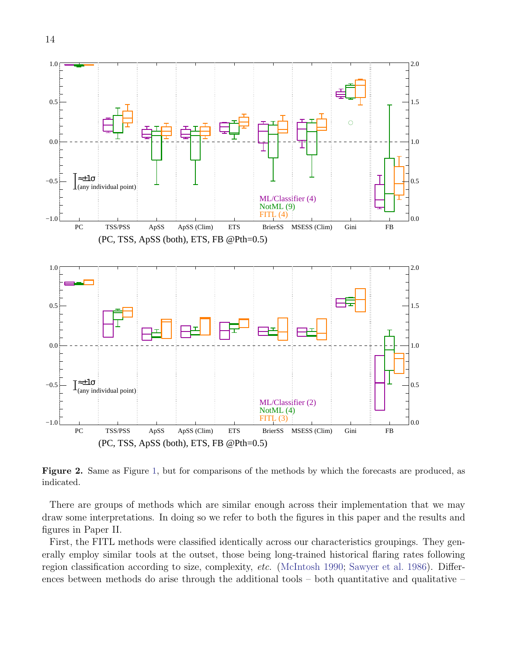

<span id="page-13-0"></span>Figure 2. Same as Figure [1,](#page-12-0) but for comparisons of the methods by which the forecasts are produced, as indicated.

There are groups of methods which are similar enough across their implementation that we may draw some interpretations. In doing so we refer to both the figures in this paper and the results and figures in Paper II.

First, the FITL methods were classified identically across our characteristics groupings. They generally employ similar tools at the outset, those being long-trained historical flaring rates following region classification according to size, complexity, etc. [\(McIntosh 1990;](#page-22-7) [Sawyer et al. 1986\)](#page-22-8). Differences between methods do arise through the additional tools – both quantitative and qualitative –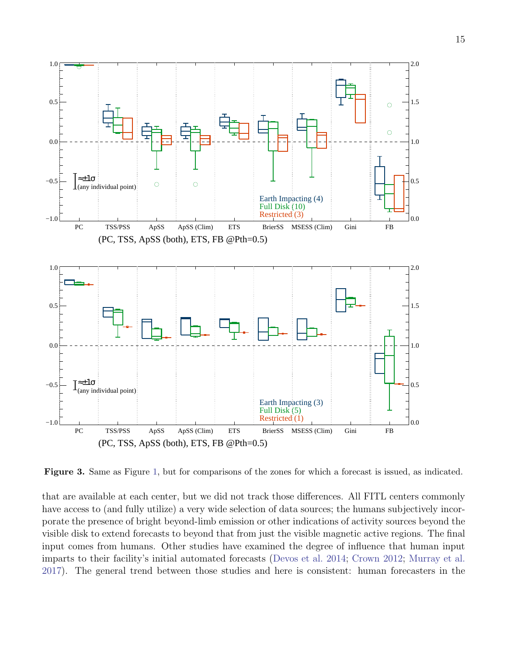

<span id="page-14-0"></span>Figure 3. Same as Figure [1,](#page-12-0) but for comparisons of the zones for which a forecast is issued, as indicated.

that are available at each center, but we did not track those differences. All FITL centers commonly have access to (and fully utilize) a very wide selection of data sources; the humans subjectively incorporate the presence of bright beyond-limb emission or other indications of activity sources beyond the visible disk to extend forecasts to beyond that from just the visible magnetic active regions. The final input comes from humans. Other studies have examined the degree of influence that human input imparts to their facility's initial automated forecasts [\(Devos et al. 2014;](#page-21-5) [Crown 2012;](#page-21-6) [Murray et al.](#page-22-11) [2017](#page-22-11)). The general trend between those studies and here is consistent: human forecasters in the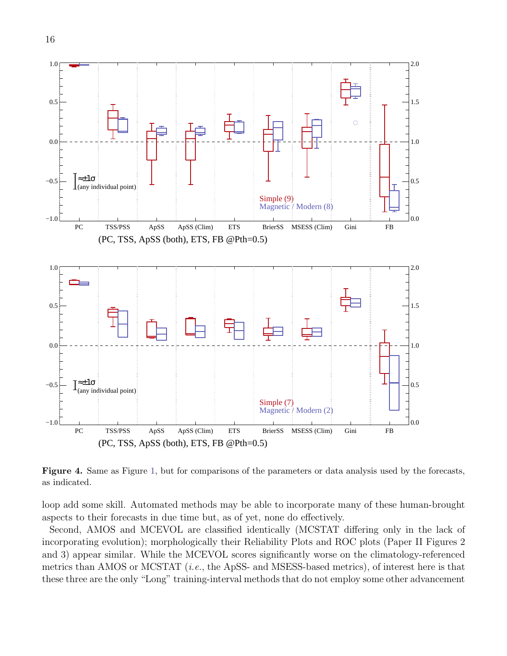

<span id="page-15-0"></span>Figure 4. Same as Figure [1,](#page-12-0) but for comparisons of the parameters or data analysis used by the forecasts, as indicated.

loop add some skill. Automated methods may be able to incorporate many of these human-brought aspects to their forecasts in due time but, as of yet, none do effectively.

Second, AMOS and MCEVOL are classified identically (MCSTAT differing only in the lack of incorporating evolution); morphologically their Reliability Plots and ROC plots (Paper II Figures 2 and 3) appear similar. While the MCEVOL scores significantly worse on the climatology-referenced metrics than AMOS or MCSTAT (i.e., the ApSS- and MSESS-based metrics), of interest here is that these three are the only "Long" training-interval methods that do not employ some other advancement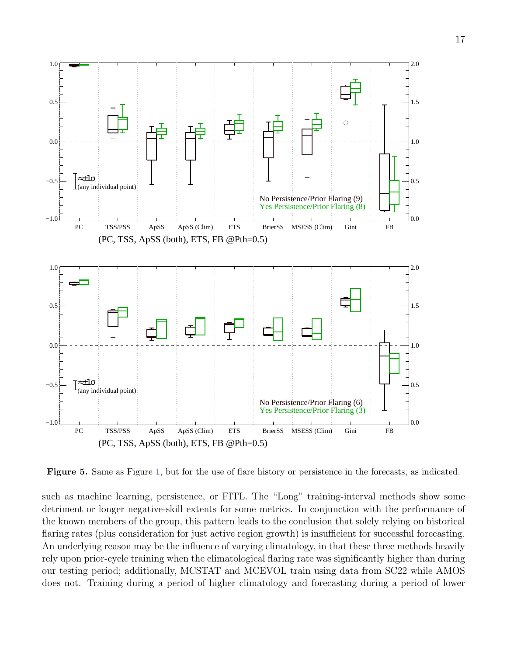

<span id="page-16-0"></span>Figure 5. Same as Figure [1,](#page-12-0) but for the use of flare history or persistence in the forecasts, as indicated.

such as machine learning, persistence, or FITL. The "Long" training-interval methods show some detriment or longer negative-skill extents for some metrics. In conjunction with the performance of the known members of the group, this pattern leads to the conclusion that solely relying on historical flaring rates (plus consideration for just active region growth) is insufficient for successful forecasting. An underlying reason may be the influence of varying climatology, in that these three methods heavily rely upon prior-cycle training when the climatological flaring rate was significantly higher than during our testing period; additionally, MCSTAT and MCEVOL train using data from SC22 while AMOS does not. Training during a period of higher climatology and forecasting during a period of lower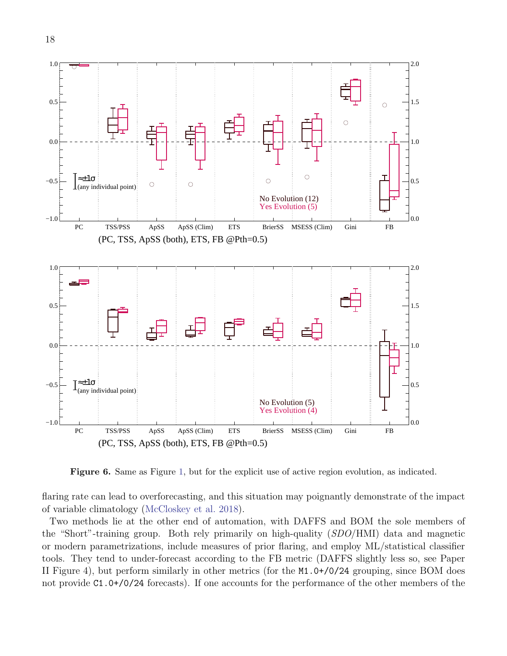

<span id="page-17-0"></span>Figure 6. Same as Figure [1,](#page-12-0) but for the explicit use of active region evolution, as indicated.

flaring rate can lead to overforecasting, and this situation may poignantly demonstrate of the impact of variable climatology [\(McCloskey et al. 2018\)](#page-22-12).

Two methods lie at the other end of automation, with DAFFS and BOM the sole members of the "Short"-training group. Both rely primarily on high-quality (SDO/HMI) data and magnetic or modern parametrizations, include measures of prior flaring, and employ ML/statistical classifier tools. They tend to under-forecast according to the FB metric (DAFFS slightly less so, see Paper II Figure 4), but perform similarly in other metrics (for the M1.0+/0/24 grouping, since BOM does not provide C1.0+/0/24 forecasts). If one accounts for the performance of the other members of the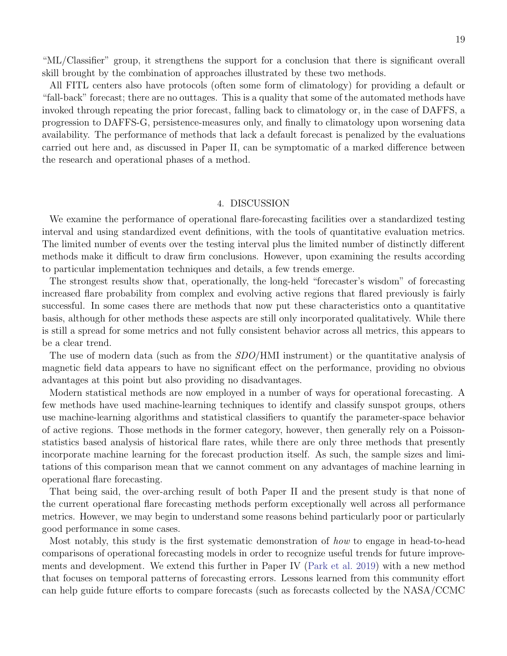"ML/Classifier" group, it strengthens the support for a conclusion that there is significant overall skill brought by the combination of approaches illustrated by these two methods.

All FITL centers also have protocols (often some form of climatology) for providing a default or "fall-back" forecast; there are no outtages. This is a quality that some of the automated methods have invoked through repeating the prior forecast, falling back to climatology or, in the case of DAFFS, a progression to DAFFS-G, persistence-measures only, and finally to climatology upon worsening data availability. The performance of methods that lack a default forecast is penalized by the evaluations carried out here and, as discussed in Paper II, can be symptomatic of a marked difference between the research and operational phases of a method.

#### 4. DISCUSSION

We examine the performance of operational flare-forecasting facilities over a standardized testing interval and using standardized event definitions, with the tools of quantitative evaluation metrics. The limited number of events over the testing interval plus the limited number of distinctly different methods make it difficult to draw firm conclusions. However, upon examining the results according to particular implementation techniques and details, a few trends emerge.

The strongest results show that, operationally, the long-held "forecaster's wisdom" of forecasting increased flare probability from complex and evolving active regions that flared previously is fairly successful. In some cases there are methods that now put these characteristics onto a quantitative basis, although for other methods these aspects are still only incorporated qualitatively. While there is still a spread for some metrics and not fully consistent behavior across all metrics, this appears to be a clear trend.

The use of modern data (such as from the SDO/HMI instrument) or the quantitative analysis of magnetic field data appears to have no significant effect on the performance, providing no obvious advantages at this point but also providing no disadvantages.

Modern statistical methods are now employed in a number of ways for operational forecasting. A few methods have used machine-learning techniques to identify and classify sunspot groups, others use machine-learning algorithms and statistical classifiers to quantify the parameter-space behavior of active regions. Those methods in the former category, however, then generally rely on a Poissonstatistics based analysis of historical flare rates, while there are only three methods that presently incorporate machine learning for the forecast production itself. As such, the sample sizes and limitations of this comparison mean that we cannot comment on any advantages of machine learning in operational flare forecasting.

That being said, the over-arching result of both Paper II and the present study is that none of the current operational flare forecasting methods perform exceptionally well across all performance metrics. However, we may begin to understand some reasons behind particularly poor or particularly good performance in some cases.

Most notably, this study is the first systematic demonstration of how to engage in head-to-head comparisons of operational forecasting models in order to recognize useful trends for future improvements and development. We extend this further in Paper IV [\(Park et al. 2019\)](#page-22-1) with a new method that focuses on temporal patterns of forecasting errors. Lessons learned from this community effort can help guide future efforts to compare forecasts (such as forecasts collected by the NASA/CCMC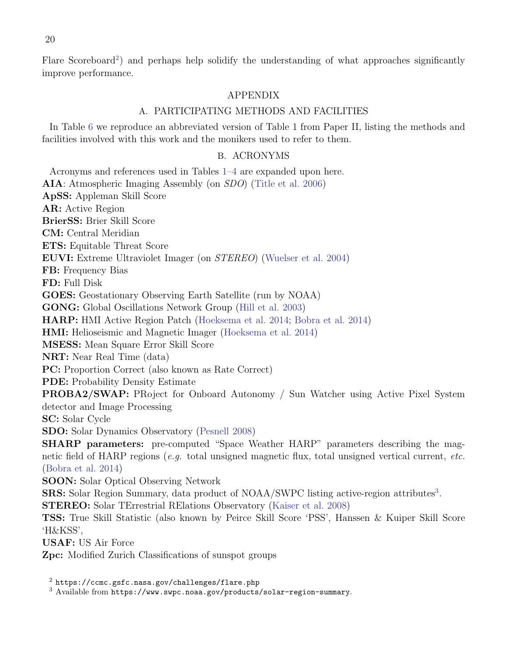### APPENDIX

### A. PARTICIPATING METHODS AND FACILITIES

<span id="page-19-1"></span><span id="page-19-0"></span>In Table [6](#page-20-0) we reproduce an abbreviated version of Table 1 from Paper II, listing the methods and facilities involved with this work and the monikers used to refer to them.

### B. ACRONYMS

Acronyms and references used in Tables [1](#page-4-0)[–4](#page-7-0) are expanded upon here. AIA: Atmospheric Imaging Assembly (on *SDO*) [\(Title et al. 2006\)](#page-22-13) ApSS: Appleman Skill Score AR: Active Region BrierSS: Brier Skill Score CM: Central Meridian ETS: Equitable Threat Score EUVI: Extreme Ultraviolet Imager (on STEREO) [\(Wuelser et al. 2004\)](#page-22-14) FB: Frequency Bias FD: Full Disk GOES: Geostationary Observing Earth Satellite (run by NOAA) GONG: Global Oscillations Network Group [\(Hill et al. 2003\)](#page-21-7) HARP: HMI Active Region Patch [\(Hoeksema et al. 2014;](#page-21-1) [Bobra et al. 2014](#page-21-8)) HMI: Helioseismic and Magnetic Imager [\(Hoeksema et al. 2014\)](#page-21-1) MSESS: Mean Square Error Skill Score NRT: Near Real Time (data) PC: Proportion Correct (also known as Rate Correct) PDE: Probability Density Estimate PROBA2/SWAP: PRoject for Onboard Autonomy / Sun Watcher using Active Pixel System detector and Image Processing SC: Solar Cycle SDO: Solar Dynamics Observatory [\(Pesnell 2008](#page-22-5)) SHARP parameters: pre-computed "Space Weather HARP" parameters describing the magnetic field of HARP regions (e.g. total unsigned magnetic flux, total unsigned vertical current, etc. [\(Bobra et al. 2014\)](#page-21-8) SOON: Solar Optical Observing Network SRS: Solar Region Summary, data product of NOAA/SWPC listing active-region attributes<sup>[3](#page-19-3)</sup>. STEREO: Solar TErrestrial RElations Observatory [\(Kaiser et al. 2008\)](#page-21-9) TSS: True Skill Statistic (also known by Peirce Skill Score 'PSS', Hanssen & Kuiper Skill Score 'H&KSS', USAF: US Air Force Zpc: Modified Zurich Classifications of sunspot groups

<sup>2</sup> https://ccmc.gsfc.nasa.gov/challenges/flare.php

<span id="page-19-3"></span><span id="page-19-2"></span><sup>3</sup> Available from https://www.swpc.noaa.gov/products/solar-region-summary.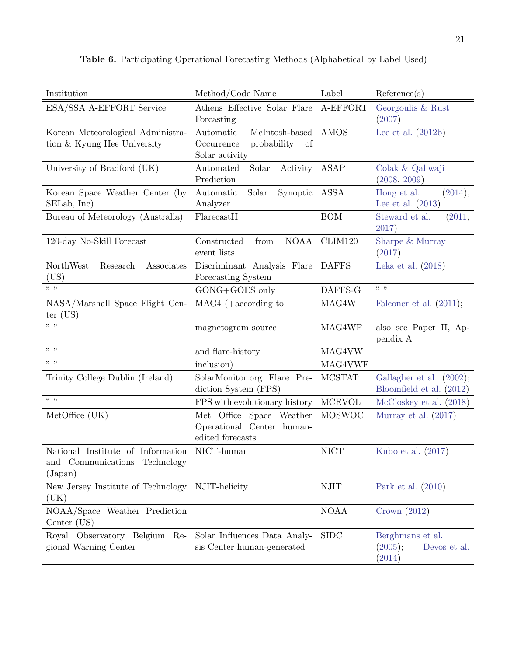| Institution                                                                   | Method/Code Name                                                                 | Label         | Reference(s)                                                        |  |  |  |
|-------------------------------------------------------------------------------|----------------------------------------------------------------------------------|---------------|---------------------------------------------------------------------|--|--|--|
| ESA/SSA A-EFFORT Service                                                      | Athens Effective Solar Flare<br>Forcasting                                       | A-EFFORT      | Georgoulis & Rust<br>(2007)                                         |  |  |  |
| Korean Meteorological Administra-<br>tion & Kyung Hee University              | McIntosh-based<br>Automatic<br>probability<br>Occurrence<br>of<br>Solar activity | <b>AMOS</b>   | Lee et al. $(2012b)$                                                |  |  |  |
| University of Bradford (UK)                                                   | Automated<br>Solar<br>Activity<br>Prediction                                     | ASAP          | Colak & Qahwaji<br>(2008, 2009)                                     |  |  |  |
| Korean Space Weather Center (by<br>SELab, Inc)                                | Automatic<br>Solar<br>Synoptic<br>Analyzer                                       | ASSA          | Hong et al.<br>(2014),<br>Lee et al. $(2013)$                       |  |  |  |
| Bureau of Meteorology (Australia)                                             | FlarecastII                                                                      | <b>BOM</b>    | Steward et al.<br>(2011,<br>2017)                                   |  |  |  |
| 120-day No-Skill Forecast                                                     | Constructed<br><b>NOAA</b><br>from<br>event lists                                | CLIM120       | Sharpe & Murray<br>(2017)                                           |  |  |  |
| NorthWest<br>Associates<br>Research<br>$({\rm US})$                           | Discriminant Analysis Flare<br>Forecasting System                                | <b>DAFFS</b>  | Leka et al. $(2018)$                                                |  |  |  |
| ,, ,,                                                                         | GONG+GOES only                                                                   | DAFFS-G       | ,, ,,                                                               |  |  |  |
| NASA/Marshall Space Flight Cen-<br>ter (US)                                   | $MAG4$ (+according to                                                            | MAG4W         | Falconer et al. $(2011);$                                           |  |  |  |
| ,, ,,                                                                         | magnetogram source                                                               | MAG4WF        | also see Paper II, Ap-<br>pendix A                                  |  |  |  |
| ,,,,                                                                          | and flare-history                                                                | MAG4VW        |                                                                     |  |  |  |
| ,, ,,                                                                         | inclusion)                                                                       | MAG4VWF       |                                                                     |  |  |  |
| Trinity College Dublin (Ireland)                                              | SolarMonitor.org Flare Pre-<br>diction System (FPS)                              | <b>MCSTAT</b> | Gallagher et al. $(2002)$ ;<br>Bloomfield et al. (2012)             |  |  |  |
| ,, ,,                                                                         | FPS with evolutionary history                                                    | <b>MCEVOL</b> | McCloskey et al. (2018)                                             |  |  |  |
| MetOffice (UK)                                                                | Weather<br>Met Office<br>Space<br>Operational Center human-<br>edited forecasts  | <b>MOSWOC</b> | Murray et al. $(2017)$                                              |  |  |  |
| National Institute of Information<br>and Communications Technology<br>(Japan) | NICT-human                                                                       | <b>NICT</b>   | Kubo et al. $(2017)$                                                |  |  |  |
| New Jersey Institute of Technology<br>(UK)                                    | NJIT-helicity                                                                    | <b>NJIT</b>   | Park et al. (2010)                                                  |  |  |  |
| NOAA/Space Weather Prediction<br>Center (US)                                  |                                                                                  | <b>NOAA</b>   | Crown $(2012)$                                                      |  |  |  |
| Royal Observatory Belgium Re-<br>gional Warning Center                        | Solar Influences Data Analy-<br>sis Center human-generated                       | <b>SIDC</b>   | Berghmans et al.<br>(2005);<br>Devos et al.<br>$\left( 2014\right)$ |  |  |  |

<span id="page-20-0"></span>Table 6. Participating Operational Forecasting Methods (Alphabetical by Label Used)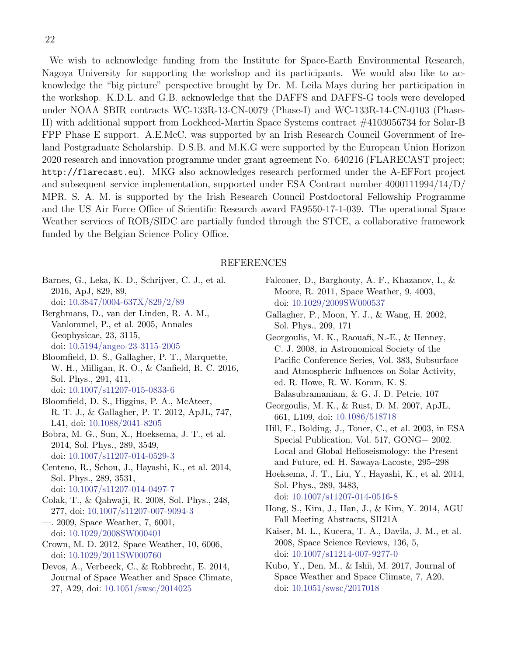We wish to acknowledge funding from the Institute for Space-Earth Environmental Research, Nagoya University for supporting the workshop and its participants. We would also like to acknowledge the "big picture" perspective brought by Dr. M. Leila Mays during her participation in the workshop. K.D.L. and G.B. acknowledge that the DAFFS and DAFFS-G tools were developed under NOAA SBIR contracts WC-133R-13-CN-0079 (Phase-I) and WC-133R-14-CN-0103 (Phase-II) with additional support from Lockheed-Martin Space Systems contract #4103056734 for Solar-B FPP Phase E support. A.E.McC. was supported by an Irish Research Council Government of Ireland Postgraduate Scholarship. D.S.B. and M.K.G were supported by the European Union Horizon 2020 research and innovation programme under grant agreement No. 640216 (FLARECAST project; http://flarecast.eu). MKG also acknowledges research performed under the A-EFFort project and subsequent service implementation, supported under ESA Contract number 4000111994/14/D/ MPR. S. A. M. is supported by the Irish Research Council Postdoctoral Fellowship Programme and the US Air Force Office of Scientific Research award FA9550-17-1-039. The operational Space Weather services of ROB/SIDC are partially funded through the STCE, a collaborative framework funded by the Belgian Science Policy Office.

### REFERENCES

<span id="page-21-0"></span>Barnes, G., Leka, K. D., Schrijver, C. J., et al. 2016, ApJ, 829, 89, doi: [10.3847/0004-637X/829/2/89](http://doi.org/10.3847/0004-637X/829/2/89)

<span id="page-21-18"></span>Berghmans, D., van der Linden, R. A. M., Vanlommel, P., et al. 2005, Annales Geophysicae, 23, 3115, doi: [10.5194/angeo-23-3115-2005](http://doi.org/10.5194/angeo-23-3115-2005)

- <span id="page-21-4"></span>Bloomfield, D. S., Gallagher, P. T., Marquette, W. H., Milligan, R. O., & Canfield, R. C. 2016, Sol. Phys., 291, 411, doi: [10.1007/s11207-015-0833-6](http://doi.org/10.1007/s11207-015-0833-6)
- <span id="page-21-16"></span>Bloomfield, D. S., Higgins, P. A., McAteer, R. T. J., & Gallagher, P. T. 2012, ApJL, 747, L41, doi: [10.1088/2041-8205](http://doi.org/10.1088/2041-8205)
- <span id="page-21-8"></span>Bobra, M. G., Sun, X., Hoeksema, J. T., et al. 2014, Sol. Phys., 289, 3549, doi: [10.1007/s11207-014-0529-3](http://doi.org/10.1007/s11207-014-0529-3)
- <span id="page-21-3"></span>Centeno, R., Schou, J., Hayashi, K., et al. 2014, Sol. Phys., 289, 3531, doi: [10.1007/s11207-014-0497-7](http://doi.org/10.1007/s11207-014-0497-7)
- <span id="page-21-11"></span>Colak, T., & Qahwaji, R. 2008, Sol. Phys., 248, 277, doi: [10.1007/s11207-007-9094-3](http://doi.org/10.1007/s11207-007-9094-3)
- <span id="page-21-12"></span>—. 2009, Space Weather, 7, 6001, doi: [10.1029/2008SW000401](http://doi.org/10.1029/2008SW000401)
- <span id="page-21-6"></span>Crown, M. D. 2012, Space Weather, 10, 6006, doi: [10.1029/2011SW000760](http://doi.org/10.1029/2011SW000760)
- <span id="page-21-5"></span>Devos, A., Verbeeck, C., & Robbrecht, E. 2014, Journal of Space Weather and Space Climate, 27, A29, doi: [10.1051/swsc/2014025](http://doi.org/10.1051/swsc/2014025)
- <span id="page-21-14"></span><span id="page-21-2"></span>Falconer, D., Barghouty, A. F., Khazanov, I., & Moore, R. 2011, Space Weather, 9, 4003, doi: [10.1029/2009SW000537](http://doi.org/10.1029/2009SW000537)
- <span id="page-21-15"></span>Gallagher, P., Moon, Y. J., & Wang, H. 2002, Sol. Phys., 209, 171
- Georgoulis, M. K., Raouafi, N.-E., & Henney, C. J. 2008, in Astronomical Society of the Pacific Conference Series, Vol. 383, Subsurface and Atmospheric Influences on Solar Activity, ed. R. Howe, R. W. Komm, K. S. Balasubramaniam, & G. J. D. Petrie, 107
- <span id="page-21-10"></span>Georgoulis, M. K., & Rust, D. M. 2007, ApJL, 661, L109, doi: [10.1086/518718](http://doi.org/10.1086/518718)
- <span id="page-21-7"></span>Hill, F., Bolding, J., Toner, C., et al. 2003, in ESA Special Publication, Vol. 517, GONG+ 2002. Local and Global Helioseismology: the Present and Future, ed. H. Sawaya-Lacoste, 295–298
- <span id="page-21-1"></span>Hoeksema, J. T., Liu, Y., Hayashi, K., et al. 2014, Sol. Phys., 289, 3483, doi: [10.1007/s11207-014-0516-8](http://doi.org/10.1007/s11207-014-0516-8)
- <span id="page-21-13"></span>Hong, S., Kim, J., Han, J., & Kim, Y. 2014, AGU Fall Meeting Abstracts, SH21A
- <span id="page-21-9"></span>Kaiser, M. L., Kucera, T. A., Davila, J. M., et al. 2008, Space Science Reviews, 136, 5, doi: [10.1007/s11214-007-9277-0](http://doi.org/10.1007/s11214-007-9277-0)
- <span id="page-21-17"></span>Kubo, Y., Den, M., & Ishii, M. 2017, Journal of Space Weather and Space Climate, 7, A20, doi: [10.1051/swsc/2017018](http://doi.org/10.1051/swsc/2017018)